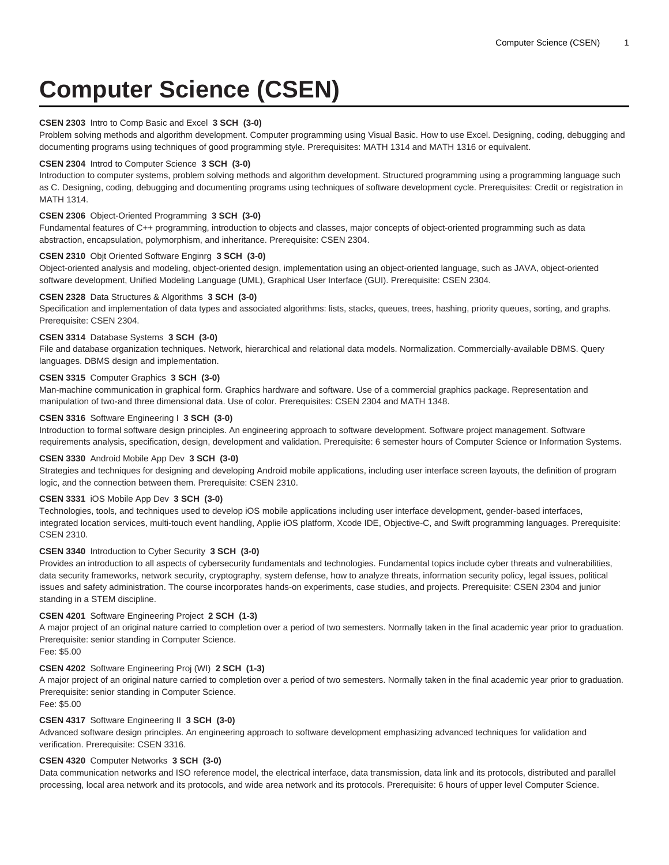# **Computer Science (CSEN)**

# **CSEN 2303** Intro to Comp Basic and Excel **3 SCH (3-0)**

Problem solving methods and algorithm development. Computer programming using Visual Basic. How to use Excel. Designing, coding, debugging and documenting programs using techniques of good programming style. Prerequisites: MATH 1314 and MATH 1316 or equivalent.

#### **CSEN 2304** Introd to Computer Science **3 SCH (3-0)**

Introduction to computer systems, problem solving methods and algorithm development. Structured programming using a programming language such as C. Designing, coding, debugging and documenting programs using techniques of software development cycle. Prerequisites: Credit or registration in MATH 1314.

## **CSEN 2306** Object-Oriented Programming **3 SCH (3-0)**

Fundamental features of C++ programming, introduction to objects and classes, major concepts of object-oriented programming such as data abstraction, encapsulation, polymorphism, and inheritance. Prerequisite: CSEN 2304.

## **CSEN 2310** Objt Oriented Software Enginrg **3 SCH (3-0)**

Object-oriented analysis and modeling, object-oriented design, implementation using an object-oriented language, such as JAVA, object-oriented software development, Unified Modeling Language (UML), Graphical User Interface (GUI). Prerequisite: CSEN 2304.

# **CSEN 2328** Data Structures & Algorithms **3 SCH (3-0)**

Specification and implementation of data types and associated algorithms: lists, stacks, queues, trees, hashing, priority queues, sorting, and graphs. Prerequisite: CSEN 2304.

# **CSEN 3314** Database Systems **3 SCH (3-0)**

File and database organization techniques. Network, hierarchical and relational data models. Normalization. Commercially-available DBMS. Query languages. DBMS design and implementation.

# **CSEN 3315** Computer Graphics **3 SCH (3-0)**

Man-machine communication in graphical form. Graphics hardware and software. Use of a commercial graphics package. Representation and manipulation of two-and three dimensional data. Use of color. Prerequisites: CSEN 2304 and MATH 1348.

# **CSEN 3316** Software Engineering I **3 SCH (3-0)**

Introduction to formal software design principles. An engineering approach to software development. Software project management. Software requirements analysis, specification, design, development and validation. Prerequisite: 6 semester hours of Computer Science or Information Systems.

### **CSEN 3330** Android Mobile App Dev **3 SCH (3-0)**

Strategies and techniques for designing and developing Android mobile applications, including user interface screen layouts, the definition of program logic, and the connection between them. Prerequisite: CSEN 2310.

#### **CSEN 3331** iOS Mobile App Dev **3 SCH (3-0)**

Technologies, tools, and techniques used to develop iOS mobile applications including user interface development, gender-based interfaces, integrated location services, multi-touch event handling, Applie iOS platform, Xcode IDE, Objective-C, and Swift programming languages. Prerequisite: CSEN 2310.

# **CSEN 3340** Introduction to Cyber Security **3 SCH (3-0)**

Provides an introduction to all aspects of cybersecurity fundamentals and technologies. Fundamental topics include cyber threats and vulnerabilities, data security frameworks, network security, cryptography, system defense, how to analyze threats, information security policy, legal issues, political issues and safety administration. The course incorporates hands-on experiments, case studies, and projects. Prerequisite: CSEN 2304 and junior standing in a STEM discipline.

#### **CSEN 4201** Software Engineering Project **2 SCH (1-3)**

A major project of an original nature carried to completion over a period of two semesters. Normally taken in the final academic year prior to graduation. Prerequisite: senior standing in Computer Science.

Fee: \$5.00

#### **CSEN 4202** Software Engineering Proj (WI) **2 SCH (1-3)**

A major project of an original nature carried to completion over a period of two semesters. Normally taken in the final academic year prior to graduation. Prerequisite: senior standing in Computer Science.

Fee: \$5.00

# **CSEN 4317** Software Engineering II **3 SCH (3-0)**

Advanced software design principles. An engineering approach to software development emphasizing advanced techniques for validation and verification. Prerequisite: CSEN 3316.

# **CSEN 4320** Computer Networks **3 SCH (3-0)**

Data communication networks and ISO reference model, the electrical interface, data transmission, data link and its protocols, distributed and parallel processing, local area network and its protocols, and wide area network and its protocols. Prerequisite: 6 hours of upper level Computer Science.